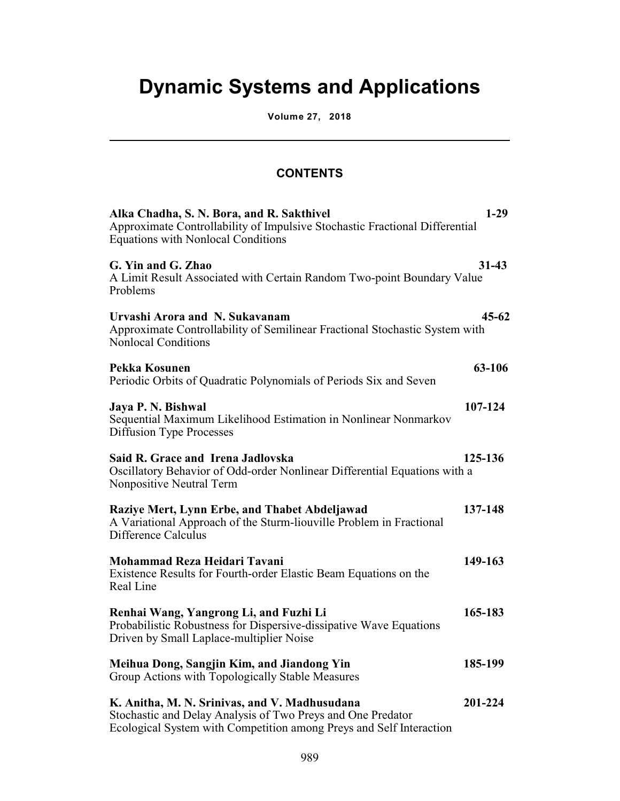## **Dynamic Systems and Applications**

**Volume 27, 2018**

l

## **CONTENTS**

| Alka Chadha, S. N. Bora, and R. Sakthivel<br>Approximate Controllability of Impulsive Stochastic Fractional Differential<br><b>Equations with Nonlocal Conditions</b>               | $1-29$    |
|-------------------------------------------------------------------------------------------------------------------------------------------------------------------------------------|-----------|
| G. Yin and G. Zhao<br>A Limit Result Associated with Certain Random Two-point Boundary Value<br>Problems                                                                            | $31 - 43$ |
| Urvashi Arora and N. Sukavanam<br>Approximate Controllability of Semilinear Fractional Stochastic System with<br><b>Nonlocal Conditions</b>                                         | $45 - 62$ |
| Pekka Kosunen<br>Periodic Orbits of Quadratic Polynomials of Periods Six and Seven                                                                                                  | 63-106    |
| Jaya P. N. Bishwal<br>Sequential Maximum Likelihood Estimation in Nonlinear Nonmarkov<br><b>Diffusion Type Processes</b>                                                            | 107-124   |
| Said R. Grace and Irena Jadlovska<br>Oscillatory Behavior of Odd-order Nonlinear Differential Equations with a<br>Nonpositive Neutral Term                                          | 125-136   |
| Raziye Mert, Lynn Erbe, and Thabet Abdeljawad<br>A Variational Approach of the Sturm-liouville Problem in Fractional<br>Difference Calculus                                         | 137-148   |
| Mohammad Reza Heidari Tavani<br>Existence Results for Fourth-order Elastic Beam Equations on the<br>Real Line                                                                       | 149-163   |
| Renhai Wang, Yangrong Li, and Fuzhi Li<br>Probabilistic Robustness for Dispersive-dissipative Wave Equations<br>Driven by Small Laplace-multiplier Noise                            | 165-183   |
| Meihua Dong, Sangjin Kim, and Jiandong Yin<br>Group Actions with Topologically Stable Measures                                                                                      | 185-199   |
| K. Anitha, M. N. Srinivas, and V. Madhusudana<br>Stochastic and Delay Analysis of Two Preys and One Predator<br>Ecological System with Competition among Preys and Self Interaction | 201-224   |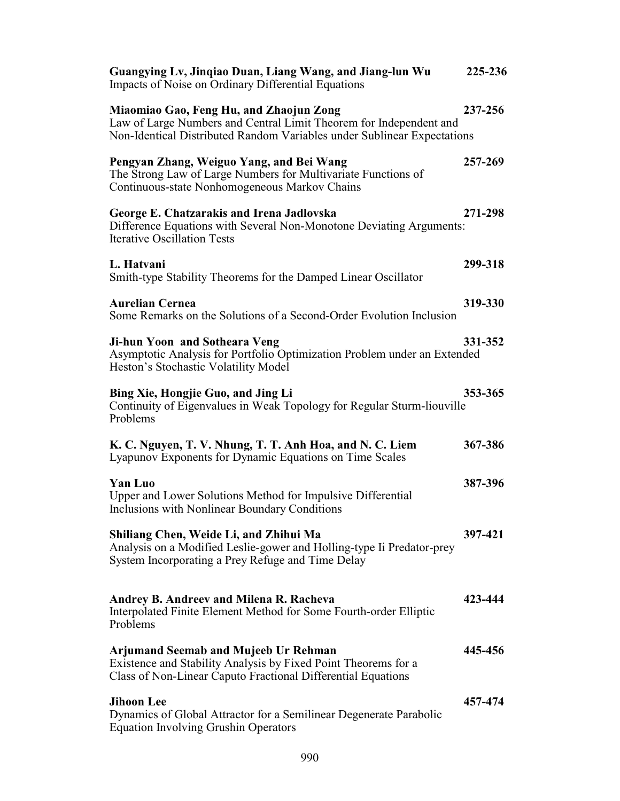| Guangying Lv, Jinqiao Duan, Liang Wang, and Jiang-lun Wu<br>Impacts of Noise on Ordinary Differential Equations                                                                          | 225-236 |
|------------------------------------------------------------------------------------------------------------------------------------------------------------------------------------------|---------|
| Miaomiao Gao, Feng Hu, and Zhaojun Zong<br>Law of Large Numbers and Central Limit Theorem for Independent and<br>Non-Identical Distributed Random Variables under Sublinear Expectations | 237-256 |
| Pengyan Zhang, Weiguo Yang, and Bei Wang<br>The Strong Law of Large Numbers for Multivariate Functions of<br>Continuous-state Nonhomogeneous Markov Chains                               | 257-269 |
| George E. Chatzarakis and Irena Jadlovska<br>Difference Equations with Several Non-Monotone Deviating Arguments:<br><b>Iterative Oscillation Tests</b>                                   | 271-298 |
| L. Hatvani<br>Smith-type Stability Theorems for the Damped Linear Oscillator                                                                                                             | 299-318 |
| <b>Aurelian Cernea</b><br>Some Remarks on the Solutions of a Second-Order Evolution Inclusion                                                                                            | 319-330 |
| Ji-hun Yoon and Sotheara Veng<br>Asymptotic Analysis for Portfolio Optimization Problem under an Extended<br>Heston's Stochastic Volatility Model                                        | 331-352 |
| Bing Xie, Hongjie Guo, and Jing Li<br>Continuity of Eigenvalues in Weak Topology for Regular Sturm-liouville<br>Problems                                                                 | 353-365 |
| K. C. Nguyen, T. V. Nhung, T. T. Anh Hoa, and N. C. Liem<br>Lyapunov Exponents for Dynamic Equations on Time Scales                                                                      | 367-386 |
| Yan Luo<br>Upper and Lower Solutions Method for Impulsive Differential<br>Inclusions with Nonlinear Boundary Conditions                                                                  | 387-396 |
| Shiliang Chen, Weide Li, and Zhihui Ma<br>Analysis on a Modified Leslie-gower and Holling-type Ii Predator-prey<br>System Incorporating a Prey Refuge and Time Delay                     | 397-421 |
| Andrey B. Andreev and Milena R. Racheva<br>Interpolated Finite Element Method for Some Fourth-order Elliptic<br>Problems                                                                 | 423-444 |
| <b>Arjumand Seemab and Mujeeb Ur Rehman</b><br>Existence and Stability Analysis by Fixed Point Theorems for a<br>Class of Non-Linear Caputo Fractional Differential Equations            | 445-456 |
| <b>Jihoon Lee</b><br>Dynamics of Global Attractor for a Semilinear Degenerate Parabolic<br><b>Equation Involving Grushin Operators</b>                                                   | 457-474 |
|                                                                                                                                                                                          |         |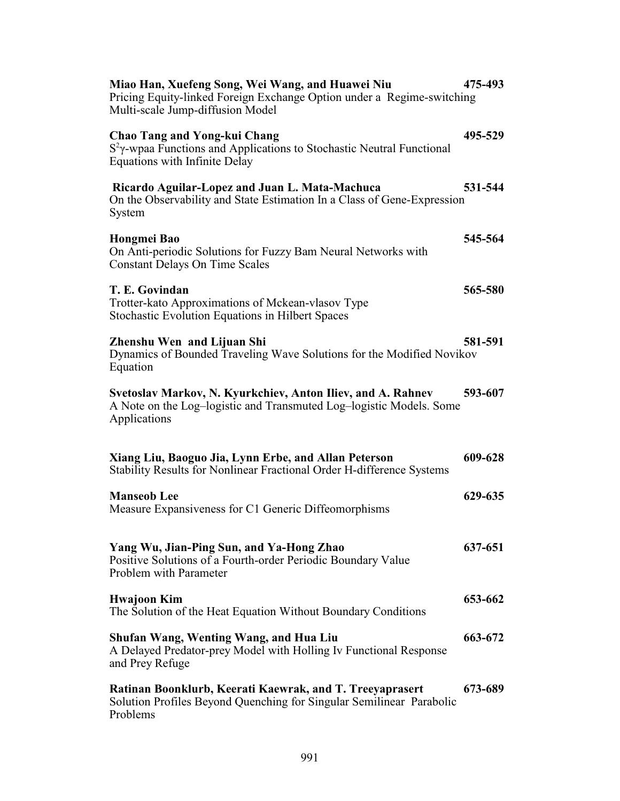| Miao Han, Xuefeng Song, Wei Wang, and Huawei Niu<br>Pricing Equity-linked Foreign Exchange Option under a Regime-switching<br>Multi-scale Jump-diffusion Model | 475-493 |
|----------------------------------------------------------------------------------------------------------------------------------------------------------------|---------|
| <b>Chao Tang and Yong-kui Chang</b><br>$S2$ y-wpaa Functions and Applications to Stochastic Neutral Functional<br><b>Equations with Infinite Delay</b>         | 495-529 |
| Ricardo Aguilar-Lopez and Juan L. Mata-Machuca<br>On the Observability and State Estimation In a Class of Gene-Expression<br>System                            | 531-544 |
| Hongmei Bao<br>On Anti-periodic Solutions for Fuzzy Bam Neural Networks with<br><b>Constant Delays On Time Scales</b>                                          | 545-564 |
| T. E. Govindan<br>Trotter-kato Approximations of Mckean-vlasov Type<br><b>Stochastic Evolution Equations in Hilbert Spaces</b>                                 | 565-580 |
| Zhenshu Wen and Lijuan Shi<br>Dynamics of Bounded Traveling Wave Solutions for the Modified Novikov<br>Equation                                                | 581-591 |
| Svetoslav Markov, N. Kyurkchiev, Anton Iliev, and A. Rahnev<br>A Note on the Log-logistic and Transmuted Log-logistic Models. Some<br>Applications             | 593-607 |
| Xiang Liu, Baoguo Jia, Lynn Erbe, and Allan Peterson<br>Stability Results for Nonlinear Fractional Order H-difference Systems                                  | 609-628 |
| <b>Manseob Lee</b><br>Measure Expansiveness for C1 Generic Diffeomorphisms                                                                                     | 629-635 |
| Yang Wu, Jian-Ping Sun, and Ya-Hong Zhao<br>Positive Solutions of a Fourth-order Periodic Boundary Value<br><b>Problem with Parameter</b>                      | 637-651 |
| Hwajoon Kim<br>The Solution of the Heat Equation Without Boundary Conditions                                                                                   | 653-662 |
| Shufan Wang, Wenting Wang, and Hua Liu<br>A Delayed Predator-prey Model with Holling Iv Functional Response<br>and Prey Refuge                                 | 663-672 |
| Ratinan Boonklurb, Keerati Kaewrak, and T. Treeyaprasert<br>Solution Profiles Beyond Quenching for Singular Semilinear Parabolic<br>Problems                   | 673-689 |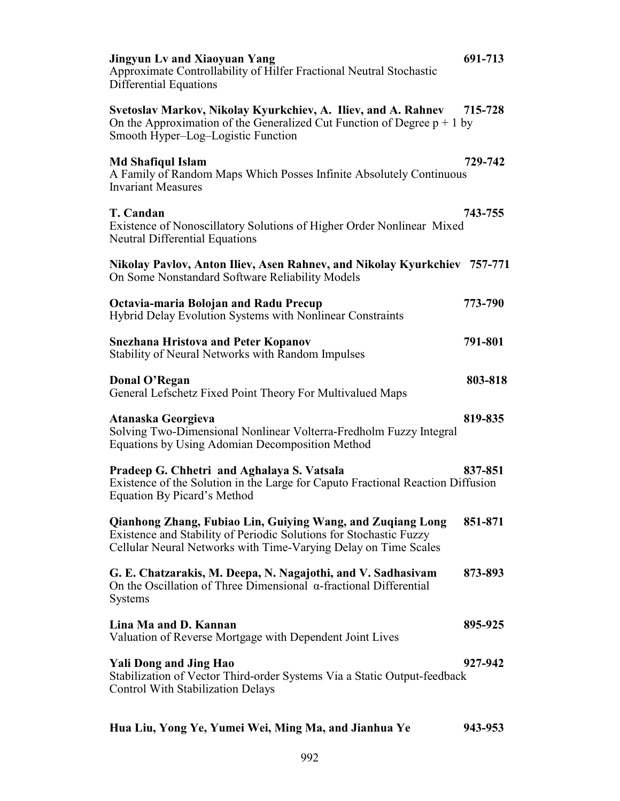| <b>Jingyun Lv and Xiaoyuan Yang</b><br>Approximate Controllability of Hilfer Fractional Neutral Stochastic<br>Differential Equations                                                                | 691-713 |
|-----------------------------------------------------------------------------------------------------------------------------------------------------------------------------------------------------|---------|
| Svetoslav Markov, Nikolay Kyurkchiev, A. Iliev, and A. Rahnev<br>On the Approximation of the Generalized Cut Function of Degree $p + 1$ by<br>Smooth Hyper-Log-Logistic Function                    | 715-728 |
| <b>Md Shafiqul Islam</b><br>A Family of Random Maps Which Posses Infinite Absolutely Continuous<br><b>Invariant Measures</b>                                                                        | 729-742 |
| T. Candan<br>Existence of Nonoscillatory Solutions of Higher Order Nonlinear Mixed<br><b>Neutral Differential Equations</b>                                                                         | 743-755 |
| Nikolay Pavlov, Anton Iliev, Asen Rahnev, and Nikolay Kyurkchiev 757-771<br>On Some Nonstandard Software Reliability Models                                                                         |         |
| Octavia-maria Bolojan and Radu Precup<br>Hybrid Delay Evolution Systems with Nonlinear Constraints                                                                                                  | 773-790 |
| <b>Snezhana Hristova and Peter Kopanov</b><br>Stability of Neural Networks with Random Impulses                                                                                                     | 791-801 |
| Donal O'Regan<br>General Lefschetz Fixed Point Theory For Multivalued Maps                                                                                                                          | 803-818 |
| Atanaska Georgieva<br>Solving Two-Dimensional Nonlinear Volterra-Fredholm Fuzzy Integral<br>Equations by Using Adomian Decomposition Method                                                         | 819-835 |
| Pradeep G. Chhetri and Aghalaya S. Vatsala<br>Existence of the Solution in the Large for Caputo Fractional Reaction Diffusion<br>Equation By Picard's Method                                        | 837-851 |
| Qianhong Zhang, Fubiao Lin, Guiying Wang, and Zuqiang Long<br>Existence and Stability of Periodic Solutions for Stochastic Fuzzy<br>Cellular Neural Networks with Time-Varying Delay on Time Scales | 851-871 |
| G. E. Chatzarakis, M. Deepa, N. Nagajothi, and V. Sadhasivam<br>On the Oscillation of Three Dimensional $\alpha$ -fractional Differential<br><b>Systems</b>                                         | 873-893 |
| Lina Ma and D. Kannan<br>Valuation of Reverse Mortgage with Dependent Joint Lives                                                                                                                   | 895-925 |
| <b>Yali Dong and Jing Hao</b><br>Stabilization of Vector Third-order Systems Via a Static Output-feedback<br>Control With Stabilization Delays                                                      | 927-942 |
| Hua Liu, Yong Ye, Yumei Wei, Ming Ma, and Jianhua Ye                                                                                                                                                | 943-953 |